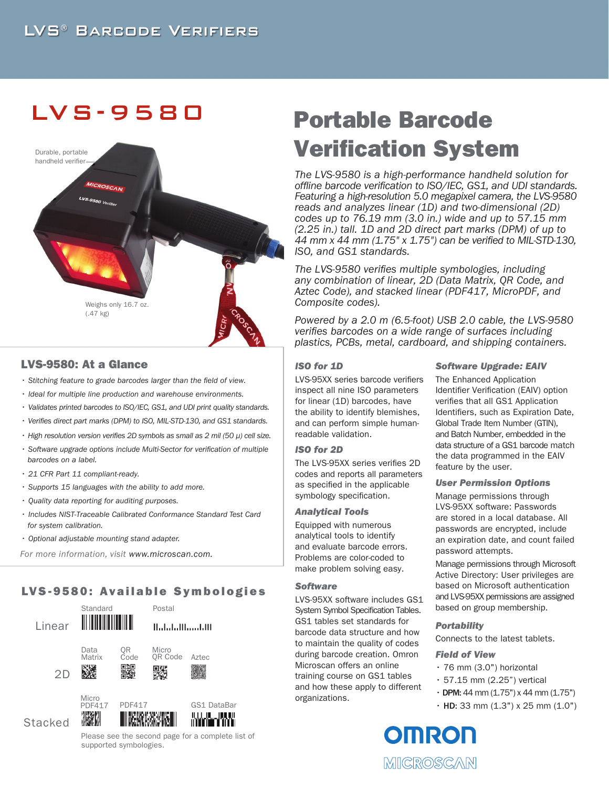## LVS -9580



## LVS-9580: At a Glance

- *Stitching feature to grade barcodes larger than the field of view.*
- *Ideal for multiple line production and warehouse environments.*
- *Validates printed barcodes to ISO/IEC, GS1, and UDI print quality standards.*
- *Verifies direct part marks (DPM) to ISO, MIL-STD-130, and GS1 standards.*
- *High resolution version verifies 2D symbols as small as 2 mil (50 µ) cell size.*
- *Software upgrade options include Multi-Sector for verification of multiple barcodes on a label.*
- *21 CFR Part 11 compliant-ready.*
- *Supports 15 languages with the ability to add more.*
- *Quality data reporting for auditing purposes.*
- *Includes NIST-Traceable Calibrated Conformance Standard Test Card for system calibration.*
- *Optional adjustable mounting stand adapter.*

 *For more information, visit www.microscan.com.*

## LVS-9580: Available Symbologies



Please see the second page for a complete list of supported symbologies.

# Portable Barcode Verification System

*The LVS-9580 is a high-performance handheld solution for offline barcode verification to ISO/IEC, GS1, and UDI standards. Featuring a high-resolution 5.0 megapixel camera, the LVS-9580 reads and analyzes linear (1D) and two-dimensional (2D) codes up to 76.19 mm (3.0 in.) wide and up to 57.15 mm (2.25 in.) tall. 1D and 2D direct part marks (DPM) of up to 44 mm x 44 mm (1.75" x 1.75") can be verified to MIL-STD-130, ISO, and GS1 standards.* 

*The LVS-9580 verifies multiple symbologies, including any combination of linear, 2D (Data Matrix, QR Code, and Aztec Code), and stacked linear (PDF417, MicroPDF, and Composite codes).*

*Powered by a 2.0 m (6.5-foot) USB 2.0 cable, the LVS-9580 verifies barcodes on a wide range of surfaces including plastics, PCBs, metal, cardboard, and shipping containers.*

## *ISO for 1D*

LVS-95XX series barcode verifiers inspect all nine ISO parameters for linear (1D) barcodes, have the ability to identify blemishes, and can perform simple humanreadable validation.

## *ISO for 2D*

The LVS-95XX series verifies 2D codes and reports all parameters as specified in the applicable symbology specification.

#### *Analytical Tools*

Equipped with numerous analytical tools to identify and evaluate barcode errors. Problems are color-coded to make problem solving easy.

### *Software*

LVS-95XX software includes GS1 System Symbol Specification Tables. GS1 tables set standards for barcode data structure and how to maintain the quality of codes during barcode creation. Omron Microscan offers an online training course on GS1 tables and how these apply to different organizations.

#### *Software Upgrade: EAIV*

The Enhanced Application Identifier Verification (EAIV) option verifies that all GS1 Application Identifiers, such as Expiration Date, Global Trade Item Number (GTIN), and Batch Number, embedded in the data structure of a GS1 barcode match the data programmed in the EAIV feature by the user.

#### *User Permission Options*

Manage permissions through LVS-95XX software: Passwords are stored in a local database. All passwords are encrypted, include an expiration date, and count failed password attempts.

Manage permissions through Microsoft Active Directory: User privileges are based on Microsoft authentication and LVS-95XX permissions are assigned based on group membership.

#### *Portability*

Connects to the latest tablets.

#### *Field of View*

- 76 mm (3.0") horizontal
- 57.15 mm (2.25") vertical
- $\cdot$  DPM: 44 mm (1.75") x 44 mm (1.75")
- $\cdot$  HD: 33 mm (1.3") x 25 mm (1.0")

**OMRON** MICROSCAN